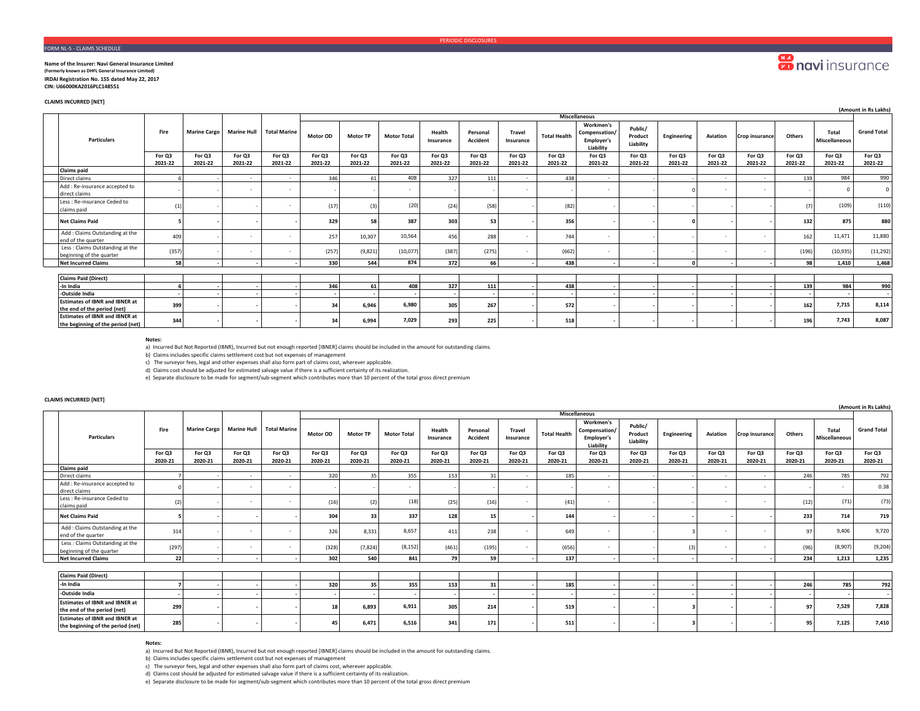## FORM NL-5 - CLAIMS SCHEDULE

### **Name of the Insurer: Navi General Insurance Limited (Formerly known as DHFL General Insurance Limited) IRDAI Registration No. 155 dated May 22, 2017 CIN: U66000KA2016PLC148551**

**CLAIMS INCURRED [NET]**

|                                                                            |         |                     |                    |                     |          |                 |                    |                     |                      |                     |                     |                                                              |                                 |             |                          |                |               |                        | (Amount in Rs Lakhs)     |
|----------------------------------------------------------------------------|---------|---------------------|--------------------|---------------------|----------|-----------------|--------------------|---------------------|----------------------|---------------------|---------------------|--------------------------------------------------------------|---------------------------------|-------------|--------------------------|----------------|---------------|------------------------|--------------------------|
|                                                                            |         |                     |                    |                     |          |                 |                    |                     |                      |                     |                     | <b>Miscellaneous</b>                                         |                                 |             |                          |                |               |                        |                          |
| <b>Particulars</b>                                                         | Fire    | <b>Marine Cargo</b> | <b>Marine Hull</b> | <b>Total Marine</b> | Motor OD | <b>Motor TP</b> | <b>Motor Total</b> | Health<br>Insurance | Personal<br>Accident | Travel<br>Insurance | <b>Total Health</b> | Workmen's<br>Compensation/<br><b>Employer's</b><br>Liability | Public/<br>Product<br>Liability | Engineering | Aviation                 | Crop insurance | <b>Others</b> | Total<br>Miscellaneous | <b>Grand Total</b>       |
|                                                                            | For Q3  | For Q3              | For Q3             | For Q3              | For Q3   | For Q3          | For Q3             | For Q3              | For Q3               | For Q3              | For Q3              | For Q3                                                       | For Q3                          | For Q3      | For Q3                   | For Q3         | For Q3        | For Q3                 | For Q3                   |
|                                                                            | 2021-22 | 2021-22             | 2021-22            | 2021-22             | 2021-22  | 2021-22         | 2021-22            | 2021-22             | 2021-22              | 2021-22             | 2021-22             | 2021-22                                                      | 2021-22                         | 2021-22     | 2021-22                  | 2021-22        | 2021-22       | 2021-22                | 2021-22                  |
| <b>Claims paid</b>                                                         |         |                     |                    |                     |          |                 |                    |                     |                      |                     |                     |                                                              |                                 |             |                          |                |               |                        |                          |
| Direct claims                                                              |         |                     | $\sim$             |                     | 346      | 61              | 408                | 327                 | 111                  | $\sim$              | 438                 | $\sim$                                                       |                                 |             | $\sim$                   | $\sim$         | 139           | 984                    | 990                      |
| Add : Re-insurance accepted to<br>direct claims                            |         |                     |                    |                     |          |                 | $\sim$             |                     |                      |                     |                     |                                                              |                                 |             | $\overline{\phantom{a}}$ |                |               |                        | $\Omega$                 |
| Less : Re-insurance Ceded to<br>claims paid                                | (1)     |                     |                    |                     | (17)     | (3)             | (20)               | (24)                | (58)                 |                     | (82)                |                                                              |                                 |             |                          |                | (7)           | (109)                  | (110)                    |
| <b>Net Claims Paid</b>                                                     |         |                     |                    |                     | 329      | 58              | 387                | 303                 | 53                   |                     | 356                 |                                                              |                                 |             |                          |                | 132           | 875                    | 880                      |
| Add: Claims Outstanding at the<br>end of the quarter                       | 409     |                     |                    |                     | 257      | 10,307          | 10,564             | 456                 | 288                  |                     | 744                 |                                                              |                                 |             |                          |                | 162           | 11,471                 | 11,880                   |
| Less: Claims Outstanding at the<br>beginning of the quarter                | (357)   |                     | $\sim$             |                     | (257)    | (9,821)         | (10,077)           | (387)               | (275)                | $\sim$              | (662)               | $\sim$                                                       |                                 |             | $\sim$                   | $\sim$         | (196)         | (10, 935)              | (11, 292)                |
| <b>Net Incurred Claims</b>                                                 | 58      |                     |                    |                     | 330      | 544             | 874                | 372                 | 66                   |                     | 438                 |                                                              |                                 |             |                          |                | 98            | 1.410                  | 1,468                    |
|                                                                            |         |                     |                    |                     |          |                 |                    |                     |                      |                     |                     |                                                              |                                 |             |                          |                |               |                        |                          |
| <b>Claims Paid (Direct)</b>                                                |         |                     |                    |                     |          |                 |                    |                     |                      |                     |                     |                                                              |                                 |             |                          |                |               |                        |                          |
| -In India                                                                  |         |                     |                    |                     | 346      | 61              | 408                | 327                 | 111                  |                     | 438                 |                                                              |                                 |             |                          |                | 139           | 984                    | 990                      |
| -Outside India                                                             |         |                     |                    |                     |          |                 |                    |                     |                      |                     | . .                 |                                                              |                                 |             |                          |                |               |                        | $\overline{\phantom{a}}$ |
| <b>Estimates of IBNR and IBNER at</b><br>the end of the period (net)       | 399     |                     |                    |                     | 34       | 6,946           | 6,980              | 305                 | 267                  |                     | 572                 |                                                              |                                 |             |                          |                | 162           | 7,715                  | 8,114                    |
| <b>Estimates of IBNR and IBNER at</b><br>the beginning of the period (net) | 344     |                     |                    |                     | 34       | 6.994           | 7,029              | 293                 | 225                  |                     | 518                 |                                                              |                                 |             |                          |                | 196           | 7,743                  | 8,087                    |

### **Notes:**

a) Incurred But Not Reported (IBNR), Incurred but not enough reported [IBNER] claims should be included in the amount for outstanding claims.

b) Claims includes specific claims settlement cost but not expenses of management

c) The surveyor fees, legal and other expenses shall also form part of claims cost, wherever applicable.

d) Claims cost should be adjusted for estimated salvage value if there is a sufficient certainty of its realization.

e) Separate disclosure to be made for segment/sub-segment which contributes more than 10 percent of the total gross direct premium

# **CLAIMS INCURRED [NET]**

|                                                                            |                   |                     |                    |                          |                   |                   |                    |                     |                             |                     |                     |                                                              |                                 |                   |                          |                   |                   |                               | (Amount in Rs Lakhs) |
|----------------------------------------------------------------------------|-------------------|---------------------|--------------------|--------------------------|-------------------|-------------------|--------------------|---------------------|-----------------------------|---------------------|---------------------|--------------------------------------------------------------|---------------------------------|-------------------|--------------------------|-------------------|-------------------|-------------------------------|----------------------|
|                                                                            |                   |                     |                    |                          |                   |                   |                    |                     |                             |                     |                     | <b>Miscellaneous</b>                                         |                                 |                   |                          |                   |                   |                               |                      |
| <b>Particulars</b>                                                         | Fire              | <b>Marine Cargo</b> | <b>Marine Hull</b> | <b>Total Marine</b>      | Motor OD          | <b>Motor TP</b>   | <b>Motor Total</b> | Health<br>Insurance | Personal<br><b>Accident</b> | Travel<br>Insurance | <b>Total Health</b> | Workmen's<br>Compensation/<br><b>Employer's</b><br>Liability | Public/<br>Product<br>Liability | Engineering       | Aviation                 | Crop insurance    | Others            | Total<br><b>Miscellaneous</b> | <b>Grand Total</b>   |
|                                                                            | For Q3<br>2020-21 | For Q3<br>2020-21   | For Q3<br>2020-21  | For Q3<br>2020-21        | For Q3<br>2020-21 | For Q3<br>2020-21 | For Q3<br>2020-21  | For Q3<br>2020-21   | For Q3<br>2020-21           | For Q3<br>2020-21   | For Q3<br>2020-21   | For Q3<br>2020-21                                            | For Q3<br>2020-21               | For Q3<br>2020-21 | For Q3<br>2020-21        | For Q3<br>2020-21 | For Q3<br>2020-21 | For Q3<br>2020-21             | For Q3<br>2020-21    |
| <b>Claims paid</b>                                                         |                   |                     |                    |                          |                   |                   |                    |                     |                             |                     |                     |                                                              |                                 |                   |                          |                   |                   |                               |                      |
| Direct claims                                                              |                   |                     | $\sim$             | $\sim$                   | 320               | 35                | 355                | 153                 | 31                          | $\sim$              | 185                 | $\sim$                                                       |                                 |                   | $\sim$                   | $\sim$            | 246               | 785                           | 792                  |
| Add : Re-insurance accepted to<br>direct claims                            |                   |                     |                    | $\overline{\phantom{a}}$ |                   |                   |                    |                     |                             | $\sim$              |                     | $\sim$                                                       |                                 |                   | $\sim$                   | $\sim$            |                   | $\sim$                        | 0.38                 |
| Less : Re-insurance Ceded to<br>claims paid                                | (2)               |                     |                    | $\overline{\phantom{a}}$ | (16)              |                   | (18)               | (25)                | (16)                        | $\sim$              | (41)                |                                                              |                                 |                   | $\overline{\phantom{a}}$ | $\sim$            | (12)              | (71)                          | (73)                 |
| <b>Net Claims Paid</b>                                                     |                   |                     |                    |                          | 304               | 33                | 337                | 128                 | 15                          |                     | 144                 |                                                              |                                 |                   |                          |                   | 233               | 714                           | 719                  |
| Add: Claims Outstanding at the<br>end of the quarter                       | 314               |                     |                    | - 11                     | 326               | 8,331             | 8,657              | 411                 | 238                         | ÷.                  | 649                 |                                                              |                                 |                   |                          |                   | Q7                | 9,406                         | 9,720                |
| Less: Claims Outstanding at the<br>beginning of the quarter                | (297)             |                     |                    | . .                      | (328)             | (7, 824)          | (8, 152)           | (461)               | (195)                       | $\sim$              | (656)               | ۰.                                                           |                                 | (3)               |                          |                   | (96)              | (8,907)                       | (9, 204)             |
| <b>Net Incurred Claims</b>                                                 | 22                |                     |                    |                          | 302               | 540               | 841                | 79                  | 59                          |                     | 137                 |                                                              |                                 |                   |                          |                   | 234               | 1,213                         | 1,235                |
|                                                                            |                   |                     |                    |                          |                   |                   |                    |                     |                             |                     |                     |                                                              |                                 |                   |                          |                   |                   |                               |                      |
| <b>Claims Paid (Direct)</b>                                                |                   |                     |                    |                          |                   |                   |                    |                     |                             |                     |                     |                                                              |                                 |                   |                          |                   |                   |                               |                      |
| -In India                                                                  |                   |                     |                    |                          | 320               | 35                | 355                | 153                 | 31                          |                     | 185                 |                                                              |                                 |                   |                          |                   | 246               | 785                           | 792                  |
| -Outside India                                                             |                   |                     |                    |                          |                   |                   |                    |                     |                             |                     |                     |                                                              |                                 |                   |                          |                   |                   |                               |                      |
| <b>Estimates of IBNR and IBNER at</b><br>the end of the period (net)       | 299               |                     |                    |                          | 18                | 6,893             | 6,911              | 305                 | 214                         |                     | 519                 |                                                              |                                 |                   |                          |                   | 97                | 7,529                         | 7,828                |
| <b>Estimates of IBNR and IBNER at</b><br>the beginning of the period (net) | 285               |                     |                    |                          | 45                | 6,471             | 6,516              | 341                 | 171                         |                     | 511                 |                                                              |                                 |                   |                          |                   | 95                | 7,125                         | 7,410                |

**Notes:**

a) Incurred But Not Reported (IBNR), Incurred but not enough reported [IBNER] claims should be included in the amount for outstanding claims.

b) Claims includes specific claims settlement cost but not expenses of management

c) The surveyor fees, legal and other expenses shall also form part of claims cost, wherever applicable.

d) Claims cost should be adjusted for estimated salvage value if there is a sufficient certainty of its realization.

e) Separate disclosure to be made for segment/sub-segment which contributes more than 10 percent of the total gross direct premium

**Conduction**